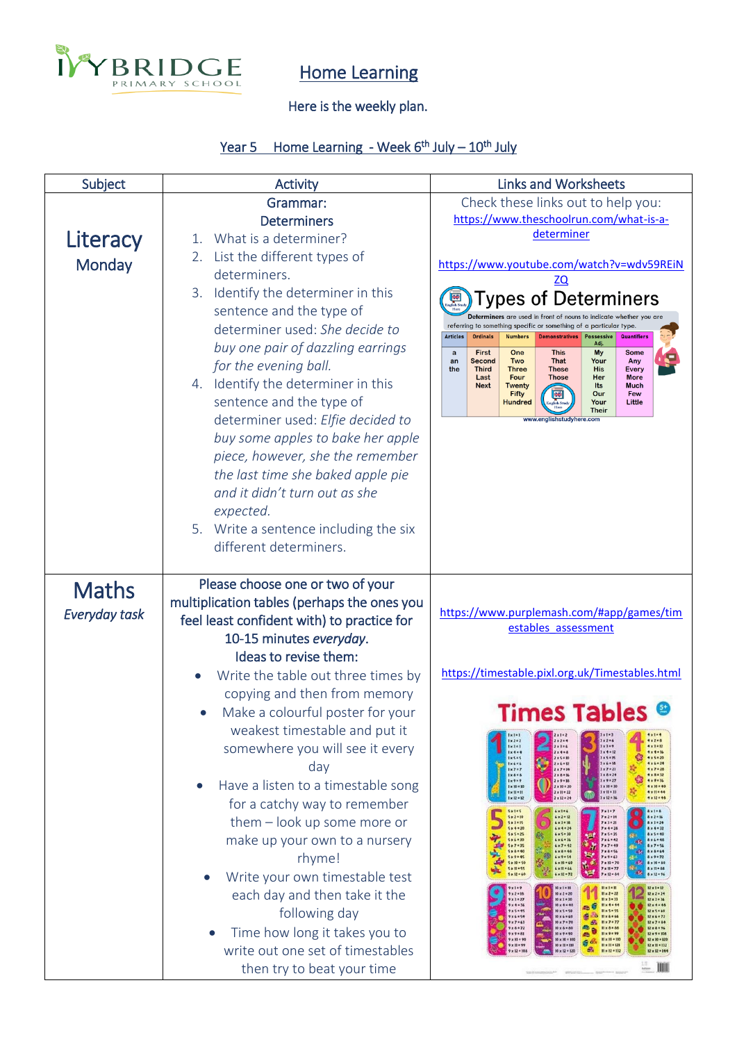

## Home Learning

## Here is the weekly plan.

## Year 5 Home Learning - Week 6<sup>th</sup> July – 10<sup>th</sup> July

| Subject                       | <b>Activity</b>                                                                                                                                                                                                                                                                                                                                                                                                                                                                                                                                                                                                                                                                                | <b>Links and Worksheets</b>                                                                                                                                                                                                                                                                                                                                                                                                                                                                                                                                                                                                                                                                                                                                                                                                                                                                                                                                                                                                                                                                                                                                                                                                                                                                                                                                                                                                                                                                                                                                                                                                                                                                                                                                                                                                                                                                                                                                                                                                                                                                                                                                                                                                                                                                                                                                                                                                                                                                                                                                                                                                                                                                                                                                                                                     |  |
|-------------------------------|------------------------------------------------------------------------------------------------------------------------------------------------------------------------------------------------------------------------------------------------------------------------------------------------------------------------------------------------------------------------------------------------------------------------------------------------------------------------------------------------------------------------------------------------------------------------------------------------------------------------------------------------------------------------------------------------|-----------------------------------------------------------------------------------------------------------------------------------------------------------------------------------------------------------------------------------------------------------------------------------------------------------------------------------------------------------------------------------------------------------------------------------------------------------------------------------------------------------------------------------------------------------------------------------------------------------------------------------------------------------------------------------------------------------------------------------------------------------------------------------------------------------------------------------------------------------------------------------------------------------------------------------------------------------------------------------------------------------------------------------------------------------------------------------------------------------------------------------------------------------------------------------------------------------------------------------------------------------------------------------------------------------------------------------------------------------------------------------------------------------------------------------------------------------------------------------------------------------------------------------------------------------------------------------------------------------------------------------------------------------------------------------------------------------------------------------------------------------------------------------------------------------------------------------------------------------------------------------------------------------------------------------------------------------------------------------------------------------------------------------------------------------------------------------------------------------------------------------------------------------------------------------------------------------------------------------------------------------------------------------------------------------------------------------------------------------------------------------------------------------------------------------------------------------------------------------------------------------------------------------------------------------------------------------------------------------------------------------------------------------------------------------------------------------------------------------------------------------------------------------------------------------------|--|
| Literacy<br>Monday            | Grammar:<br><b>Determiners</b><br>What is a determiner?<br>$\mathbf{1}$ .<br>List the different types of<br>2.<br>determiners.<br>Identify the determiner in this<br>3.<br>sentence and the type of<br>determiner used: She decide to<br>buy one pair of dazzling earrings                                                                                                                                                                                                                                                                                                                                                                                                                     | Check these links out to help you:<br>https://www.theschoolrun.com/what-is-a-<br>determiner<br>https://www.youtube.com/watch?v=wdv59REiN<br>ypes of Determiners<br>Determiners are used in front of nouns to indicate whether you are<br>referring to something specific or something of a particular type.<br><b>Articles</b><br><b>Ordinals</b><br><b>Numbers</b><br><b>Possessive</b><br><b>Quantifiers</b><br><b>Demonstratives</b><br>Adj.<br>First<br>One<br><b>This</b><br>$\mathbf{a}$<br>My<br><b>Some</b><br>Two<br><b>That</b><br>Second<br>Your<br>Any<br>an                                                                                                                                                                                                                                                                                                                                                                                                                                                                                                                                                                                                                                                                                                                                                                                                                                                                                                                                                                                                                                                                                                                                                                                                                                                                                                                                                                                                                                                                                                                                                                                                                                                                                                                                                                                                                                                                                                                                                                                                                                                                                                                                                                                                                                        |  |
|                               | for the evening ball.<br>4. Identify the determiner in this<br>sentence and the type of<br>determiner used: Elfie decided to<br>buy some apples to bake her apple<br>piece, however, she the remember<br>the last time she baked apple pie<br>and it didn't turn out as she<br>expected.<br>5. Write a sentence including the six<br>different determiners.                                                                                                                                                                                                                                                                                                                                    | the<br><b>Third</b><br><b>Three</b><br><b>These</b><br><b>His</b><br>Every<br>Four<br>Last<br><b>Those</b><br>Her<br><b>More</b><br><b>Next</b><br><b>Twenty</b><br>Its<br><b>Much</b><br><b>Fifty</b><br>Our<br>Few<br>Little<br><b>Hundred</b><br>Your<br><b>Their</b><br>www.englishstudyhere.com                                                                                                                                                                                                                                                                                                                                                                                                                                                                                                                                                                                                                                                                                                                                                                                                                                                                                                                                                                                                                                                                                                                                                                                                                                                                                                                                                                                                                                                                                                                                                                                                                                                                                                                                                                                                                                                                                                                                                                                                                                                                                                                                                                                                                                                                                                                                                                                                                                                                                                            |  |
| <b>Maths</b><br>Everyday task | Please choose one or two of your<br>multiplication tables (perhaps the ones you<br>feel least confident with) to practice for<br>10-15 minutes everyday.<br>Ideas to revise them:<br>Write the table out three times by<br>copying and then from memory<br>Make a colourful poster for your<br>weakest timestable and put it<br>somewhere you will see it every<br>day<br>Have a listen to a timestable song<br>for a catchy way to remember<br>$them - look up some more or$<br>make up your own to a nursery<br>rhyme!<br>Write your own timestable test<br>each day and then take it the<br>following day<br>Time how long it takes you to<br>$\bullet$<br>write out one set of timestables | https://www.purplemash.com/#app/games/tim<br>estables assessment<br>https://timestable.pixl.org.uk/Timestables.html<br><b>Times Tables</b><br>$4 × 1 = 4$<br>$2x1 = 2$<br>$x1+3$<br>$3 × 2 * 6$<br>$4 × 2 * 8$<br>$1 \times 2 = 2$<br>$2x2+4$<br>$1 \times 3 = 3$<br>$3 \times 3 = 9$<br>2x3x6<br>$4 × 3 = 12$<br>$3x + 12$<br>$4x4 = 16$<br>$1 \times 4 = 4$<br>$2x + 5$<br><b>3×5*15</b><br><b>Ix5*5</b><br>$2 × 5 = 10$<br><b>4x5*20</b><br>1 × 6 × 6<br>$2 × 6 * 12$<br>$3 \times 6 = 18$<br>$4 × 6 = 24$<br>1x7.7<br>2×7*14<br>$3 \times 7 = 21$<br>4 x 7 x 28<br>Ixaxa<br>$3 \times 8 = 24$<br>$4 × 8 * 32$<br>$2 × 8 * 16$<br><b>Sx9</b> = 27<br>$4 × 9 = 36$<br>$1 \times 9 \times 9$<br>$2 × 9 * 18$<br>3 x 10 = 30<br>1 x 10 = 10<br>2 x 10 = 20<br>$4 \times 10 = 40$<br>$1 \times 11 \times 11$<br>$2 \times 11 = 22$<br>3 x 11 = 33<br>4 × 11 × 44<br>働<br>$3 \times 12 = 36$<br>$4 × 12 * 48$<br>$1 \times 12 = 12$<br>$2 \times 12 = 24$<br><b>Sx1=5</b><br>$6 × 1 = 6$<br><b>Axis&amp;</b><br>$7 × 1 = 7$<br>5 × 2 × 10<br>$6 \times 2 = 12$<br>$7 × 2 * 14$<br>$8 \times 2 = 16$<br><b>Sx3+15</b><br>$7 × 3 * 21$<br>$6 × 3 = 18$<br>$8 \times 1 = 24$<br>$5x4 = 20$<br>$6x4 = 24$<br>$7x4 = 28$<br>$8x4 = 32$<br>$5x5 = 25$<br>$6 × 5 * 30$<br>2008 7x5+35<br>$8 \times 5 = 40$<br><b>Sx6+30</b><br>$6 × 6 = 36$<br>7x6=42<br><b>8x6=46</b><br>N,<br><b>Sx7+35</b><br>$6 × 7 = 42$<br>7x7=49<br>8x7=56<br><b>Sx8</b> =40<br>7 x 6 = 54<br>$6 \times 8 = 48$<br>$8 \times 8 = 64$<br>$\mathbf{m}$<br>$7 × 9 = 63$<br>$5x9 = 45$<br>$6 × 9 = 54$<br><b>Bx9</b> = 72<br>7 x 10 + 70<br>S x 10 = 50<br>$6 \times 10 = 60$<br>高帝<br>& x 10 = 80<br>$5 \times 11 = 55$<br>$4 \times 11 - 64$<br>7 x 11 = 77<br>$8 \times 11 = 88$<br>w<br><b>isto</b><br>7x12+84<br>$5 \times 12 = 60$<br>$6 \times 12 = 72$<br>$8 \times 12 - 96$<br>$12 \times 1 = 12$<br>$9x1 - 9$<br>$10 \times 1 = 10$<br>$H \times 1 - H$<br>9 x 2 = 18<br>$10 \times 2 = 20$<br>$11 \times 2 = 22$<br>12x2=24<br><b>Hx3+33</b><br>12 x 3 = 36<br>9x3.27<br>$10 \times 3 = 30$<br>$9x4*36$<br>$10x + 140$<br>临日<br>$II \times 4 + 44$<br>$12x4 = 48$<br>9 x 5 = 45<br>10 x 5 = 50<br><b>Hx5+55</b><br>12 x 5 = 60<br>$6 - 5$<br>9x6=54<br><b>Hx6*66</b><br>$12 × 6 = 72$<br>10 x 6 = 60<br>$11 × 7 * 77$<br>$9x7*63$<br>$10 \times 7 = 70$<br>a.<br>12x7484<br><b>RB</b><br>$9x8*72$<br>$10 \times 8 = 80$<br><b>Hx8</b> *88<br>$12 \times 8 \times 96$<br>ė<br>$11 × 9 = 99$<br>$9 × 9 * 81$<br>$10 \times 9 \times 90$<br>12 x 9 × 108<br>Æ.<br>9 x 10 × 90<br>10 x 10 = 100<br>$11 \times 10 = 110$<br>12 x 10 = 120<br>g di<br>$9 × 11 = 99$<br>$10 \times 11 \times 110$<br>$11 \times 11 = 121$<br>$12 \times 11 = 132$<br>S.<br>$11 \times 12 = 132$<br>12×12=144<br>9 × 12 × 108<br>10 x 12 = 120<br>$=$ $\mathbb{H}$ |  |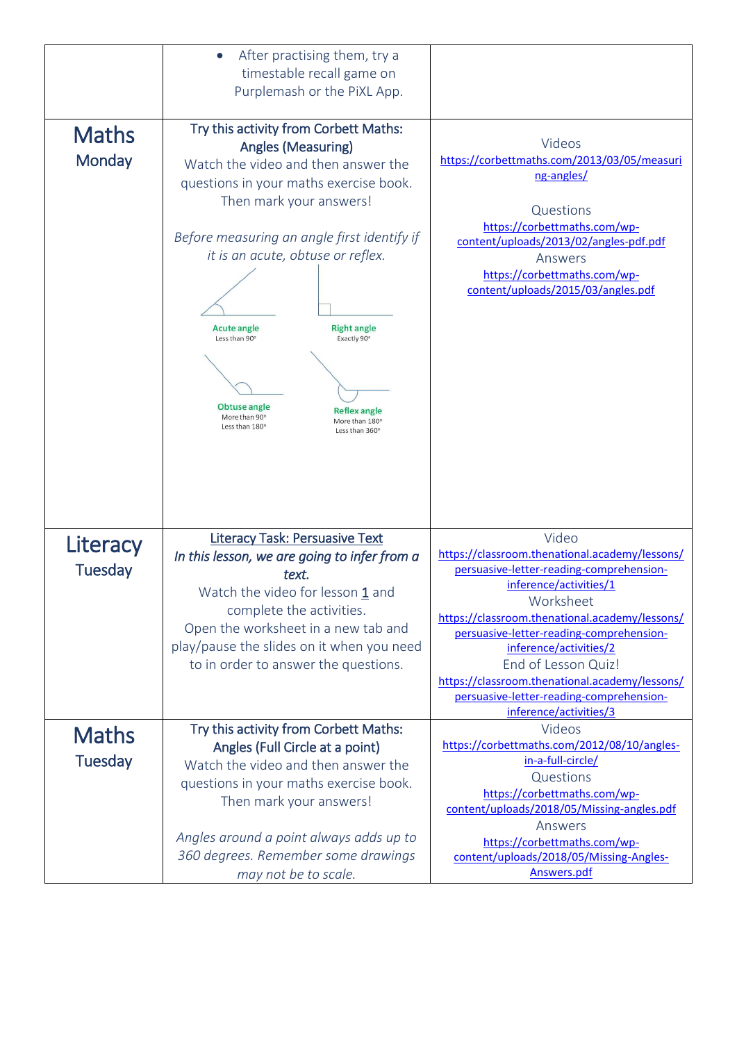| <b>Maths</b><br>Monday | After practising them, try a<br>$\bullet$<br>timestable recall game on<br>Purplemash or the PiXL App.<br>Try this activity from Corbett Maths:<br><b>Angles (Measuring)</b><br>Watch the video and then answer the<br>questions in your maths exercise book.<br>Then mark your answers!<br>Before measuring an angle first identify if<br>it is an acute, obtuse or reflex.<br><b>Acute angle</b><br><b>Right angle</b><br>Less than 90°<br>Exactly 90°<br>Obtuse angle<br><b>Reflex angle</b><br>More than 90°<br>More than 180°<br>Less than 180°<br>Less than 360° | Videos<br>https://corbettmaths.com/2013/03/05/measuri<br>ng-angles/<br>Questions<br>https://corbettmaths.com/wp-<br>content/uploads/2013/02/angles-pdf.pdf<br>Answers<br>https://corbettmaths.com/wp-<br>content/uploads/2015/03/angles.pdf |
|------------------------|-----------------------------------------------------------------------------------------------------------------------------------------------------------------------------------------------------------------------------------------------------------------------------------------------------------------------------------------------------------------------------------------------------------------------------------------------------------------------------------------------------------------------------------------------------------------------|---------------------------------------------------------------------------------------------------------------------------------------------------------------------------------------------------------------------------------------------|
| Literacy               | <b>Literacy Task: Persuasive Text</b><br>In this lesson, we are going to infer from a                                                                                                                                                                                                                                                                                                                                                                                                                                                                                 | Video<br>https://classroom.thenational.academy/lessons/                                                                                                                                                                                     |
| <b>Tuesday</b>         | text.                                                                                                                                                                                                                                                                                                                                                                                                                                                                                                                                                                 | persuasive-letter-reading-comprehension-                                                                                                                                                                                                    |
|                        | Watch the video for lesson 1 and                                                                                                                                                                                                                                                                                                                                                                                                                                                                                                                                      | inference/activities/1<br>Worksheet                                                                                                                                                                                                         |
|                        | complete the activities.<br>Open the worksheet in a new tab and                                                                                                                                                                                                                                                                                                                                                                                                                                                                                                       | https://classroom.thenational.academy/lessons/                                                                                                                                                                                              |
|                        | play/pause the slides on it when you need                                                                                                                                                                                                                                                                                                                                                                                                                                                                                                                             | persuasive-letter-reading-comprehension-<br>inference/activities/2                                                                                                                                                                          |
|                        | to in order to answer the questions.                                                                                                                                                                                                                                                                                                                                                                                                                                                                                                                                  | End of Lesson Quiz!                                                                                                                                                                                                                         |
|                        |                                                                                                                                                                                                                                                                                                                                                                                                                                                                                                                                                                       | https://classroom.thenational.academy/lessons/                                                                                                                                                                                              |
|                        |                                                                                                                                                                                                                                                                                                                                                                                                                                                                                                                                                                       | persuasive-letter-reading-comprehension-<br>inference/activities/3                                                                                                                                                                          |
| <b>Maths</b>           | Try this activity from Corbett Maths:                                                                                                                                                                                                                                                                                                                                                                                                                                                                                                                                 | Videos                                                                                                                                                                                                                                      |
| <b>Tuesday</b>         | Angles (Full Circle at a point)                                                                                                                                                                                                                                                                                                                                                                                                                                                                                                                                       | https://corbettmaths.com/2012/08/10/angles-<br>in-a-full-circle/                                                                                                                                                                            |
|                        | Watch the video and then answer the<br>questions in your maths exercise book.                                                                                                                                                                                                                                                                                                                                                                                                                                                                                         | Questions                                                                                                                                                                                                                                   |
|                        | Then mark your answers!                                                                                                                                                                                                                                                                                                                                                                                                                                                                                                                                               | https://corbettmaths.com/wp-                                                                                                                                                                                                                |
|                        |                                                                                                                                                                                                                                                                                                                                                                                                                                                                                                                                                                       | content/uploads/2018/05/Missing-angles.pdf<br>Answers                                                                                                                                                                                       |
|                        | Angles around a point always adds up to                                                                                                                                                                                                                                                                                                                                                                                                                                                                                                                               | https://corbettmaths.com/wp-                                                                                                                                                                                                                |
|                        | 360 degrees. Remember some drawings                                                                                                                                                                                                                                                                                                                                                                                                                                                                                                                                   | content/uploads/2018/05/Missing-Angles-                                                                                                                                                                                                     |
|                        | may not be to scale.                                                                                                                                                                                                                                                                                                                                                                                                                                                                                                                                                  | Answers.pdf                                                                                                                                                                                                                                 |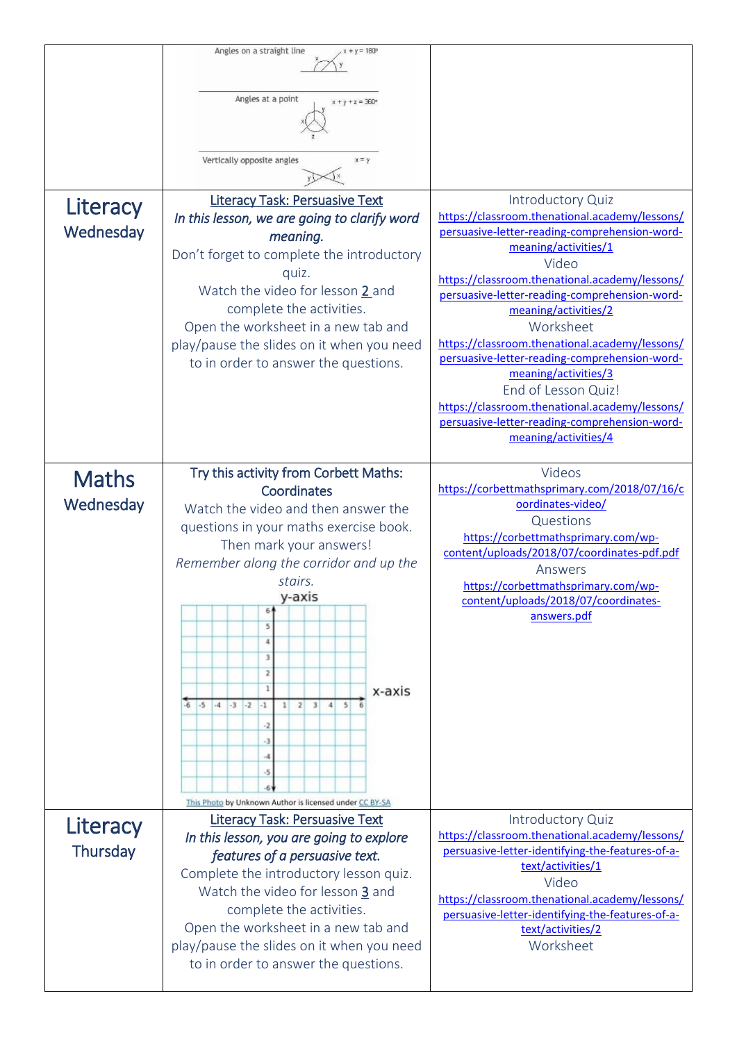| Literacy<br>Wednesday | Angles on a straight line<br>$x + y = 180^{\circ}$<br>Angles at a point<br>$y + z = 360$<br>Vertically opposite angles<br>$x = y$<br><b>Literacy Task: Persuasive Text</b><br>In this lesson, we are going to clarify word<br>meaning.<br>Don't forget to complete the introductory<br>quiz.<br>Watch the video for lesson 2 and<br>complete the activities.<br>Open the worksheet in a new tab and<br>play/pause the slides on it when you need<br>to in order to answer the questions. | Introductory Quiz<br>https://classroom.thenational.academy/lessons/<br>persuasive-letter-reading-comprehension-word-<br>meaning/activities/1<br>Video<br>https://classroom.thenational.academy/lessons/<br>persuasive-letter-reading-comprehension-word-<br>meaning/activities/2<br>Worksheet<br>https://classroom.thenational.academy/lessons/<br>persuasive-letter-reading-comprehension-word-<br>meaning/activities/3<br>End of Lesson Quiz!<br>https://classroom.thenational.academy/lessons/<br>persuasive-letter-reading-comprehension-word-<br>meaning/activities/4 |
|-----------------------|------------------------------------------------------------------------------------------------------------------------------------------------------------------------------------------------------------------------------------------------------------------------------------------------------------------------------------------------------------------------------------------------------------------------------------------------------------------------------------------|----------------------------------------------------------------------------------------------------------------------------------------------------------------------------------------------------------------------------------------------------------------------------------------------------------------------------------------------------------------------------------------------------------------------------------------------------------------------------------------------------------------------------------------------------------------------------|
| <b>Maths</b>          | Try this activity from Corbett Maths:<br>Coordinates                                                                                                                                                                                                                                                                                                                                                                                                                                     | Videos<br>https://corbettmathsprimary.com/2018/07/16/c                                                                                                                                                                                                                                                                                                                                                                                                                                                                                                                     |
| Wednesday             | Watch the video and then answer the<br>questions in your maths exercise book.<br>Then mark your answers!<br>Remember along the corridor and up the<br>stairs.<br>v-axis<br>6<br>5<br>$\overline{4}$<br>3<br>2<br>x-axis<br>$1 \quad 2 \quad 3 \quad 4 \quad 5$<br>$-5$ $-4$ $-3$ $-2$<br>$-6$<br>$-1$<br>-2<br>-3<br>-4<br>-5<br>This Photo by Unknown Author is licensed under CC BY-SA                                                                                                 | oordinates-video/<br>Questions<br>https://corbettmathsprimary.com/wp-<br>content/uploads/2018/07/coordinates-pdf.pdf<br>Answers<br>https://corbettmathsprimary.com/wp-<br>content/uploads/2018/07/coordinates-<br>answers.pdf                                                                                                                                                                                                                                                                                                                                              |
| Literacy              | <b>Literacy Task: Persuasive Text</b><br>In this lesson, you are going to explore                                                                                                                                                                                                                                                                                                                                                                                                        | Introductory Quiz<br>https://classroom.thenational.academy/lessons/<br>persuasive-letter-identifying-the-features-of-a-                                                                                                                                                                                                                                                                                                                                                                                                                                                    |
| Thursday              | features of a persuasive text.<br>Complete the introductory lesson quiz.<br>Watch the video for lesson 3 and<br>complete the activities.<br>Open the worksheet in a new tab and<br>play/pause the slides on it when you need<br>to in order to answer the questions.                                                                                                                                                                                                                     | text/activities/1<br>Video<br>https://classroom.thenational.academy/lessons/<br>persuasive-letter-identifying-the-features-of-a-<br>text/activities/2<br>Worksheet                                                                                                                                                                                                                                                                                                                                                                                                         |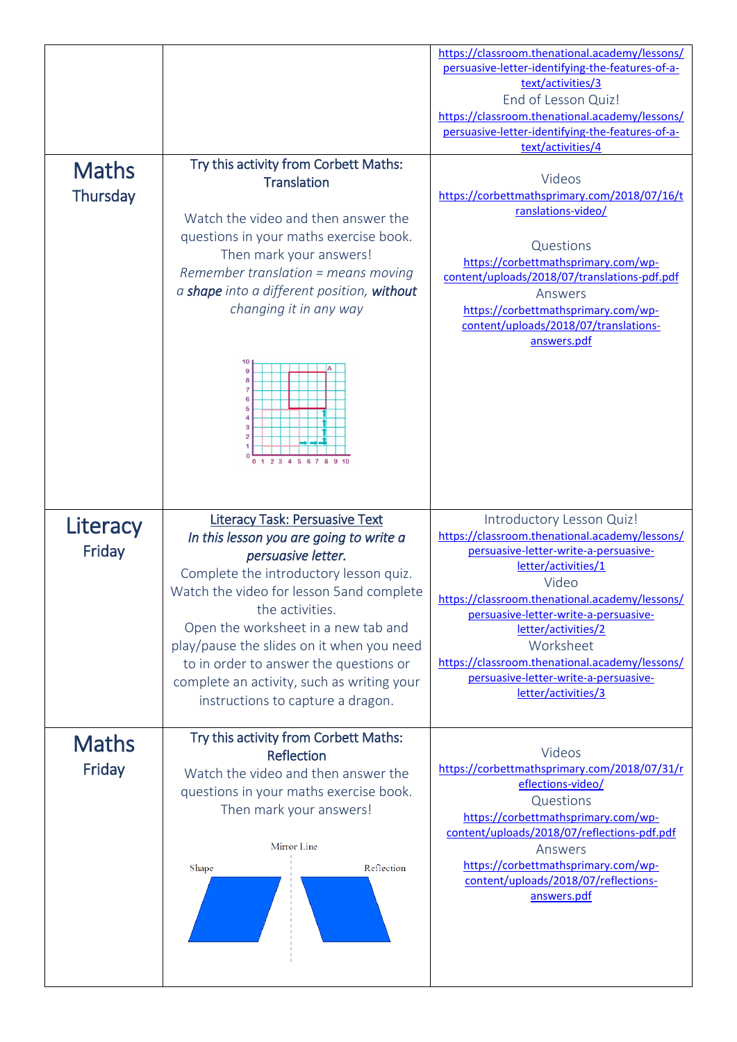| <b>Maths</b><br>Thursday | Try this activity from Corbett Maths:<br><b>Translation</b><br>Watch the video and then answer the<br>questions in your maths exercise book.<br>Then mark your answers!<br>Remember translation $=$ means moving<br>a shape into a different position, without<br>changing it in any way<br>2 3 4 5 6 7 8 9 10                                                                                                                    | https://classroom.thenational.academy/lessons/<br>persuasive-letter-identifying-the-features-of-a-<br>text/activities/3<br>End of Lesson Quiz!<br>https://classroom.thenational.academy/lessons/<br>persuasive-letter-identifying-the-features-of-a-<br>text/activities/4<br>Videos<br>https://corbettmathsprimary.com/2018/07/16/t<br>ranslations-video/<br>Questions<br>https://corbettmathsprimary.com/wp-<br>content/uploads/2018/07/translations-pdf.pdf<br>Answers<br>https://corbettmathsprimary.com/wp-<br>content/uploads/2018/07/translations-<br>answers.pdf |
|--------------------------|-----------------------------------------------------------------------------------------------------------------------------------------------------------------------------------------------------------------------------------------------------------------------------------------------------------------------------------------------------------------------------------------------------------------------------------|-------------------------------------------------------------------------------------------------------------------------------------------------------------------------------------------------------------------------------------------------------------------------------------------------------------------------------------------------------------------------------------------------------------------------------------------------------------------------------------------------------------------------------------------------------------------------|
| Literacy<br>Friday       | <b>Literacy Task: Persuasive Text</b><br>In this lesson you are going to write a<br>persuasive letter.<br>Complete the introductory lesson quiz.<br>Watch the video for lesson 5 and complete<br>the activities.<br>Open the worksheet in a new tab and<br>play/pause the slides on it when you need<br>to in order to answer the questions or<br>complete an activity, such as writing your<br>instructions to capture a dragon. | Introductory Lesson Quiz!<br>https://classroom.thenational.academy/lessons/<br>persuasive-letter-write-a-persuasive-<br>letter/activities/1<br>Video<br>https://classroom.thenational.academy/lessons/<br>persuasive-letter-write-a-persuasive-<br>letter/activities/2<br>Worksheet<br>https://classroom.thenational.academy/lessons/<br>persuasive-letter-write-a-persuasive-<br>letter/activities/3                                                                                                                                                                   |
| <b>Maths</b><br>Friday   | Try this activity from Corbett Maths:<br>Reflection<br>Watch the video and then answer the<br>questions in your maths exercise book.<br>Then mark your answers!<br>Mirror Line<br>Reflection<br>Shape                                                                                                                                                                                                                             | Videos<br>https://corbettmathsprimary.com/2018/07/31/r<br>eflections-video/<br>Questions<br>https://corbettmathsprimary.com/wp-<br>content/uploads/2018/07/reflections-pdf.pdf<br>Answers<br>https://corbettmathsprimary.com/wp-<br>content/uploads/2018/07/reflections-<br>answers.pdf                                                                                                                                                                                                                                                                                 |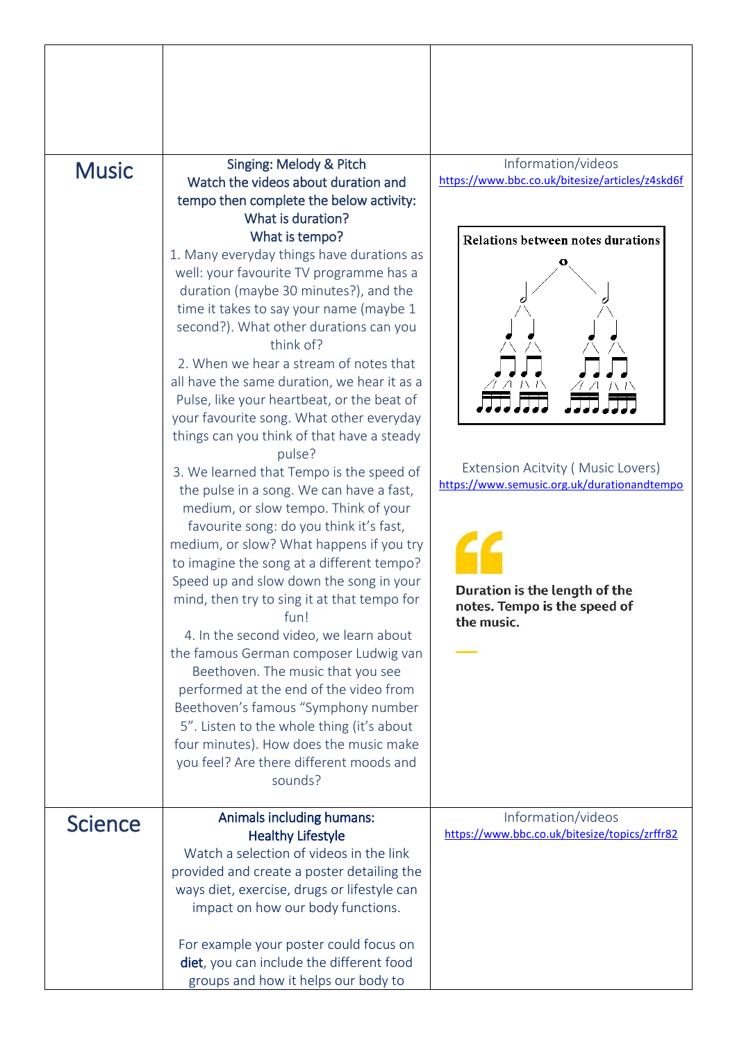|                | Singing: Melody & Pitch                                                                                                                                                                                                                                                                                                                                                                                                                                                                                                                                                                                                                                                                                                                                                                                                                                                                                                                                                                                                                                                                                                                                                                                                                                                                                                         | Information/videos                                                                                                                                                                                                                                      |
|----------------|---------------------------------------------------------------------------------------------------------------------------------------------------------------------------------------------------------------------------------------------------------------------------------------------------------------------------------------------------------------------------------------------------------------------------------------------------------------------------------------------------------------------------------------------------------------------------------------------------------------------------------------------------------------------------------------------------------------------------------------------------------------------------------------------------------------------------------------------------------------------------------------------------------------------------------------------------------------------------------------------------------------------------------------------------------------------------------------------------------------------------------------------------------------------------------------------------------------------------------------------------------------------------------------------------------------------------------|---------------------------------------------------------------------------------------------------------------------------------------------------------------------------------------------------------------------------------------------------------|
| <b>Music</b>   | Watch the videos about duration and<br>tempo then complete the below activity:<br>What is duration?<br>What is tempo?<br>1. Many everyday things have durations as<br>well: your favourite TV programme has a<br>duration (maybe 30 minutes?), and the<br>time it takes to say your name (maybe 1<br>second?). What other durations can you<br>think of?<br>2. When we hear a stream of notes that<br>all have the same duration, we hear it as a<br>Pulse, like your heartbeat, or the beat of<br>your favourite song. What other everyday<br>things can you think of that have a steady<br>pulse?<br>3. We learned that Tempo is the speed of<br>the pulse in a song. We can have a fast,<br>medium, or slow tempo. Think of your<br>favourite song: do you think it's fast,<br>medium, or slow? What happens if you try<br>to imagine the song at a different tempo?<br>Speed up and slow down the song in your<br>mind, then try to sing it at that tempo for<br>fun!<br>4. In the second video, we learn about<br>the famous German composer Ludwig van<br>Beethoven. The music that you see<br>performed at the end of the video from<br>Beethoven's famous "Symphony number<br>5". Listen to the whole thing (it's about<br>four minutes). How does the music make<br>you feel? Are there different moods and<br>sounds? | https://www.bbc.co.uk/bitesize/articles/z4skd6f<br>Relations between notes durations<br>Extension Acitvity (Music Lovers)<br>https://www.semusic.org.uk/durationandtempo<br>Duration is the length of the<br>notes. Tempo is the speed of<br>the music. |
| <b>Science</b> | Animals including humans:<br><b>Healthy Lifestyle</b><br>Watch a selection of videos in the link<br>provided and create a poster detailing the<br>ways diet, exercise, drugs or lifestyle can<br>impact on how our body functions.<br>For example your poster could focus on                                                                                                                                                                                                                                                                                                                                                                                                                                                                                                                                                                                                                                                                                                                                                                                                                                                                                                                                                                                                                                                    | Information/videos<br>https://www.bbc.co.uk/bitesize/topics/zrffr82                                                                                                                                                                                     |
|                | diet, you can include the different food<br>groups and how it helps our body to                                                                                                                                                                                                                                                                                                                                                                                                                                                                                                                                                                                                                                                                                                                                                                                                                                                                                                                                                                                                                                                                                                                                                                                                                                                 |                                                                                                                                                                                                                                                         |